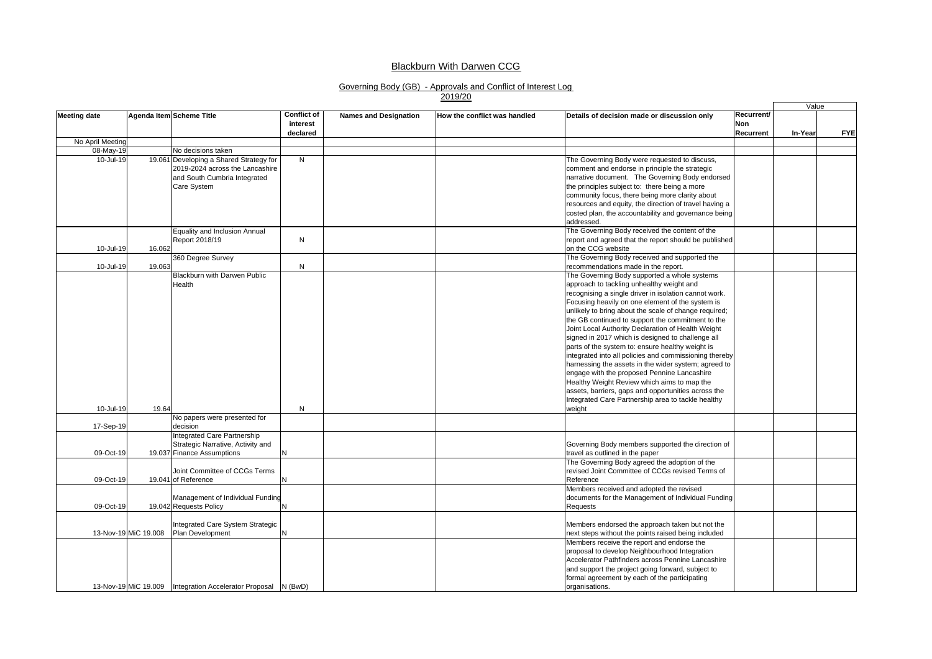#### Blackburn With Darwen CCG

# Governing Body (GB) - Approvals and Conflict of Interest Log 2019/20

|                     |                      |                                                                 |                                |                              |                              |                                                                                                            |                   | Value   |            |
|---------------------|----------------------|-----------------------------------------------------------------|--------------------------------|------------------------------|------------------------------|------------------------------------------------------------------------------------------------------------|-------------------|---------|------------|
| <b>Meeting date</b> |                      | Agenda Item Scheme Title                                        | <b>Conflict of</b><br>interest | <b>Names and Designation</b> | How the conflict was handled | Details of decision made or discussion only                                                                | Recurrent/<br>Non |         |            |
|                     |                      |                                                                 | declared                       |                              |                              |                                                                                                            | Recurrent         | In-Year | <b>FYE</b> |
| No April Meeting    |                      |                                                                 |                                |                              |                              |                                                                                                            |                   |         |            |
| 08-May-19           |                      | No decisions taken                                              |                                |                              |                              |                                                                                                            |                   |         |            |
| 10-Jul-19           |                      | 19.061 Developing a Shared Strategy for                         | N                              |                              |                              | The Governing Body were requested to discuss,                                                              |                   |         |            |
|                     |                      | 2019-2024 across the Lancashire                                 |                                |                              |                              | comment and endorse in principle the strategic                                                             |                   |         |            |
|                     |                      | and South Cumbria Integrated                                    |                                |                              |                              | narrative document. The Governing Body endorsed                                                            |                   |         |            |
|                     |                      | Care System                                                     |                                |                              |                              | the principles subject to: there being a more                                                              |                   |         |            |
|                     |                      |                                                                 |                                |                              |                              | community focus, there being more clarity about                                                            |                   |         |            |
|                     |                      |                                                                 |                                |                              |                              | resources and equity, the direction of travel having a                                                     |                   |         |            |
|                     |                      |                                                                 |                                |                              |                              | costed plan, the accountability and governance being                                                       |                   |         |            |
|                     |                      |                                                                 |                                |                              |                              | addressed.                                                                                                 |                   |         |            |
|                     |                      | Equality and Inclusion Annual                                   |                                |                              |                              | The Governing Body received the content of the                                                             |                   |         |            |
|                     |                      | Report 2018/19                                                  | N                              |                              |                              | report and agreed that the report should be published                                                      |                   |         |            |
| 10-Jul-19           | 16.062               |                                                                 |                                |                              |                              | on the CCG website                                                                                         |                   |         |            |
|                     |                      | 360 Degree Survey                                               |                                |                              |                              | The Governing Body received and supported the                                                              |                   |         |            |
| 10-Jul-19           | 19.063               |                                                                 | N                              |                              |                              | recommendations made in the report.                                                                        |                   |         |            |
|                     |                      | Blackburn with Darwen Public                                    |                                |                              |                              | The Governing Body supported a whole systems                                                               |                   |         |            |
|                     |                      | <b>Health</b>                                                   |                                |                              |                              | approach to tackling unhealthy weight and                                                                  |                   |         |            |
|                     |                      |                                                                 |                                |                              |                              | recognising a single driver in isolation cannot work.                                                      |                   |         |            |
|                     |                      |                                                                 |                                |                              |                              | Focusing heavily on one element of the system is                                                           |                   |         |            |
|                     |                      |                                                                 |                                |                              |                              | unlikely to bring about the scale of change required;<br>the GB continued to support the commitment to the |                   |         |            |
|                     |                      |                                                                 |                                |                              |                              | Joint Local Authority Declaration of Health Weight                                                         |                   |         |            |
|                     |                      |                                                                 |                                |                              |                              | signed in 2017 which is designed to challenge all                                                          |                   |         |            |
|                     |                      |                                                                 |                                |                              |                              | parts of the system to: ensure healthy weight is                                                           |                   |         |            |
|                     |                      |                                                                 |                                |                              |                              | integrated into all policies and commissioning thereby                                                     |                   |         |            |
|                     |                      |                                                                 |                                |                              |                              | harnessing the assets in the wider system; agreed to                                                       |                   |         |            |
|                     |                      |                                                                 |                                |                              |                              | engage with the proposed Pennine Lancashire                                                                |                   |         |            |
|                     |                      |                                                                 |                                |                              |                              | Healthy Weight Review which aims to map the                                                                |                   |         |            |
|                     |                      |                                                                 |                                |                              |                              | assets, barriers, gaps and opportunities across the                                                        |                   |         |            |
|                     |                      |                                                                 |                                |                              |                              | Integrated Care Partnership area to tackle healthy                                                         |                   |         |            |
| 10-Jul-19           | 19.64                |                                                                 | N                              |                              |                              | weight                                                                                                     |                   |         |            |
|                     |                      | No papers were presented for                                    |                                |                              |                              |                                                                                                            |                   |         |            |
| 17-Sep-19           |                      | decision                                                        |                                |                              |                              |                                                                                                            |                   |         |            |
|                     |                      | Integrated Care Partnership                                     |                                |                              |                              |                                                                                                            |                   |         |            |
|                     |                      | Strategic Narrative, Activity and                               |                                |                              |                              | Governing Body members supported the direction of                                                          |                   |         |            |
| 09-Oct-19           |                      | 19.037 Finance Assumptions                                      | N                              |                              |                              | travel as outlined in the paper                                                                            |                   |         |            |
|                     |                      |                                                                 |                                |                              |                              | The Governing Body agreed the adoption of the                                                              |                   |         |            |
|                     |                      | Joint Committee of CCGs Terms                                   |                                |                              |                              | revised Joint Committee of CCGs revised Terms of                                                           |                   |         |            |
| 09-Oct-19           |                      | 19.041 of Reference                                             | N                              |                              |                              | Reference                                                                                                  |                   |         |            |
|                     |                      |                                                                 |                                |                              |                              | Members received and adopted the revised                                                                   |                   |         |            |
|                     |                      | Management of Individual Funding                                |                                |                              |                              | documents for the Management of Individual Funding                                                         |                   |         |            |
| 09-Oct-19           |                      | 19.042 Requests Policy                                          | N                              |                              |                              | Requests                                                                                                   |                   |         |            |
|                     |                      |                                                                 |                                |                              |                              |                                                                                                            |                   |         |            |
|                     |                      | Integrated Care System Strategic<br>Plan Development            |                                |                              |                              | Members endorsed the approach taken but not the                                                            |                   |         |            |
|                     | 13-Nov-19 MiC 19.008 |                                                                 | N                              |                              |                              | next steps without the points raised being included                                                        |                   |         |            |
|                     |                      |                                                                 |                                |                              |                              | Members receive the report and endorse the                                                                 |                   |         |            |
|                     |                      |                                                                 |                                |                              |                              | proposal to develop Neighbourhood Integration<br>Accelerator Pathfinders across Pennine Lancashire         |                   |         |            |
|                     |                      |                                                                 |                                |                              |                              | and support the project going forward, subject to                                                          |                   |         |            |
|                     |                      |                                                                 |                                |                              |                              | formal agreement by each of the participating                                                              |                   |         |            |
|                     |                      | 13-Nov-19 MiC 19.009   Integration Accelerator Proposal N (BwD) |                                |                              |                              | organisations.                                                                                             |                   |         |            |
|                     |                      |                                                                 |                                |                              |                              |                                                                                                            |                   |         |            |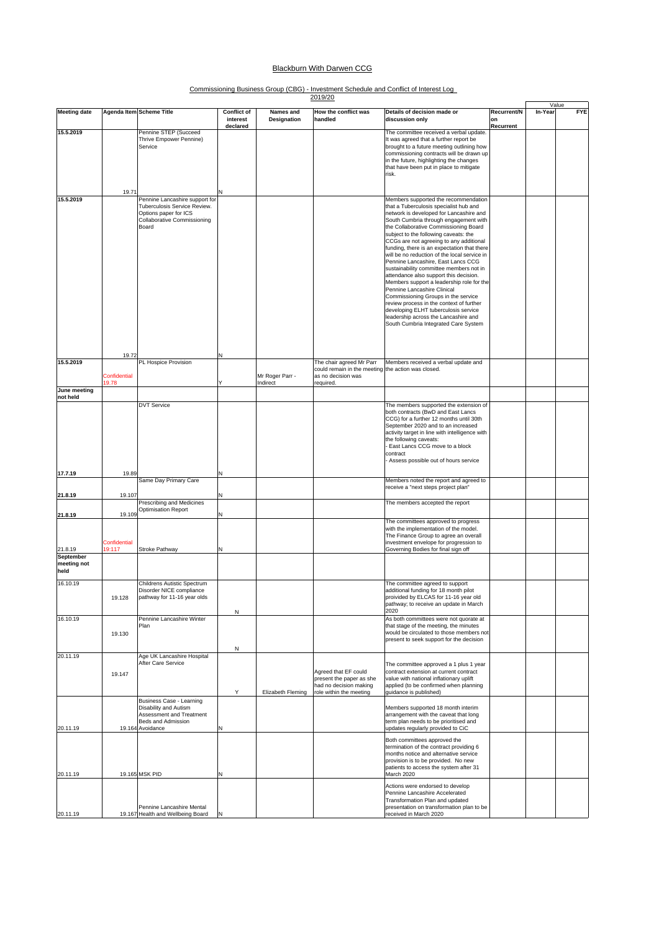### **Blackburn With Darwen CCG**

## Commissioning Business Group (CBG) - Investment Schedule and Conflict of Interest Log 2019/20

|                                  |                               |                                                                                                                                 |                                            | 2019/20                     |                                                                                                       |                                                                                                                                                                                                                                                                                                                                                                                                                                                                                                                                                                                                                                                                                                                                                                                                                  | Value                          |         |            |
|----------------------------------|-------------------------------|---------------------------------------------------------------------------------------------------------------------------------|--------------------------------------------|-----------------------------|-------------------------------------------------------------------------------------------------------|------------------------------------------------------------------------------------------------------------------------------------------------------------------------------------------------------------------------------------------------------------------------------------------------------------------------------------------------------------------------------------------------------------------------------------------------------------------------------------------------------------------------------------------------------------------------------------------------------------------------------------------------------------------------------------------------------------------------------------------------------------------------------------------------------------------|--------------------------------|---------|------------|
| <b>Meeting date</b>              |                               | Agenda Item Scheme Title                                                                                                        | <b>Conflict of</b><br>interest<br>declared | Names and<br>Designation    | How the conflict was<br>handled                                                                       | Details of decision made or<br>discussion only                                                                                                                                                                                                                                                                                                                                                                                                                                                                                                                                                                                                                                                                                                                                                                   | Recurrent/N<br>on<br>Recurrent | In-Year | <b>FYE</b> |
| 15.5.2019                        | 19.71                         | Pennine STEP (Succeed<br>Thrive Empower Pennine)<br>Service                                                                     |                                            |                             |                                                                                                       | The committee received a verbal update.<br>It was agreed that a further report be<br>brought to a future meeting outlining how<br>commissioning contracts will be drawn up<br>in the future, highlighting the changes<br>that have been put in place to mitigate<br>risk.                                                                                                                                                                                                                                                                                                                                                                                                                                                                                                                                        |                                |         |            |
| 15.5.2019                        |                               | Pennine Lancashire support for<br>Tuberculosis Service Review.<br>Options paper for ICS<br>Collaborative Commissioning<br>Board |                                            |                             |                                                                                                       | Members supported the recommendation<br>that a Tuberculosis specialist hub and<br>network is developed for Lancashire and<br>South Cumbria through engagement with<br>the Collaborative Commissioning Board<br>subject to the following caveats: the<br>CCGs are not agreeing to any additional<br>funding, there is an expectation that there<br>will be no reduction of the local service in<br>Pennine Lancashire, East Lancs CCG<br>sustainability committee members not in<br>attendance also support this decision.<br>Members support a leadership role for the<br>Pennine Lancashire Clinical<br>Commissioning Groups in the service<br>review process in the context of further<br>developing ELHT tuberculosis service<br>leadership across the Lancashire and<br>South Cumbria Integrated Care System |                                |         |            |
| 15.5.2019                        | 19.72                         | PL Hospice Provision                                                                                                            |                                            |                             | The chair agreed Mr Parr                                                                              | Members received a verbal update and                                                                                                                                                                                                                                                                                                                                                                                                                                                                                                                                                                                                                                                                                                                                                                             |                                |         |            |
|                                  | Confidential<br>19.78         |                                                                                                                                 |                                            | Mr Roger Parr -<br>Indirect | could remain in the meeting the action was closed.<br>as no decision was<br>required.                 |                                                                                                                                                                                                                                                                                                                                                                                                                                                                                                                                                                                                                                                                                                                                                                                                                  |                                |         |            |
| June meeting<br>not held         |                               |                                                                                                                                 |                                            |                             |                                                                                                       |                                                                                                                                                                                                                                                                                                                                                                                                                                                                                                                                                                                                                                                                                                                                                                                                                  |                                |         |            |
|                                  |                               | <b>DVT Service</b>                                                                                                              |                                            |                             |                                                                                                       | The members supported the extension of<br>both contracts (BwD and East Lancs<br>CCG) for a further 12 months until 30th<br>September 2020 and to an increased<br>activity target in line with intelligence with<br>the following caveats:<br>East Lancs CCG move to a block<br>contract<br>Assess possible out of hours service                                                                                                                                                                                                                                                                                                                                                                                                                                                                                  |                                |         |            |
| 17.7.19                          | 19.89                         | Same Day Primary Care                                                                                                           |                                            |                             |                                                                                                       | Members noted the report and agreed to                                                                                                                                                                                                                                                                                                                                                                                                                                                                                                                                                                                                                                                                                                                                                                           |                                |         |            |
| 21.8.19                          | 19.107                        |                                                                                                                                 |                                            |                             |                                                                                                       | receive a "next steps project plan"                                                                                                                                                                                                                                                                                                                                                                                                                                                                                                                                                                                                                                                                                                                                                                              |                                |         |            |
| 21.8.19                          | 19.109                        | Prescribing and Medicines<br>Optimisation Report                                                                                |                                            |                             |                                                                                                       | The members accepted the report                                                                                                                                                                                                                                                                                                                                                                                                                                                                                                                                                                                                                                                                                                                                                                                  |                                |         |            |
| 21.8.19                          | <b>Confidential</b><br>19:117 | Stroke Pathway                                                                                                                  |                                            |                             |                                                                                                       | The committees approved to progress<br>with the implementation of the model.<br>The Finance Group to agree an overall<br>investment envelope for progression to<br>Governing Bodies for final sign off                                                                                                                                                                                                                                                                                                                                                                                                                                                                                                                                                                                                           |                                |         |            |
| September<br>meeting not<br>held |                               |                                                                                                                                 |                                            |                             |                                                                                                       |                                                                                                                                                                                                                                                                                                                                                                                                                                                                                                                                                                                                                                                                                                                                                                                                                  |                                |         |            |
| 16.10.19                         | 19.128                        | Childrens Autistic Spectrum<br>Disorder NICE compliance<br>pathway for 11-16 year olds                                          | N                                          |                             |                                                                                                       | The committee agreed to support<br>additional funding for 18 month pilot<br>proivided by ELCAS for 11-16 year old<br>pathway; to receive an update in March<br>2020                                                                                                                                                                                                                                                                                                                                                                                                                                                                                                                                                                                                                                              |                                |         |            |
| 16.10.19                         | 19.130                        | Pennine Lancashire Winter<br>Plan                                                                                               | N                                          |                             |                                                                                                       | As both committees were not quorate at<br>that stage of the meeting, the minutes<br>would be circulated to those members not<br>present to seek support for the decision                                                                                                                                                                                                                                                                                                                                                                                                                                                                                                                                                                                                                                         |                                |         |            |
| 20.11.19                         | 19.147                        | Age UK Lancashire Hospital<br>After Care Service                                                                                | Υ                                          | Elizabeth Fleming           | Agreed that EF could<br>present the paper as she<br>had no decision making<br>role within the meeting | The committee approved a 1 plus 1 year<br>contract extension at current contract<br>value with national inflationary uplift<br>applied (to be confirmed when planning<br>guidance is published)                                                                                                                                                                                                                                                                                                                                                                                                                                                                                                                                                                                                                  |                                |         |            |
| 20.11.19                         |                               | Business Case - Learning<br>Disability and Autism<br>Assessment and Treatment<br>Beds and Admission<br>19.164 Avoidance         |                                            |                             |                                                                                                       | Members supported 18 month interim<br>arrangement with the caveat that long<br>term plan needs to be prioritised and<br>updates regularly provided to CiC                                                                                                                                                                                                                                                                                                                                                                                                                                                                                                                                                                                                                                                        |                                |         |            |
| 20.11.19                         |                               | 19.165 MSK PID                                                                                                                  |                                            |                             |                                                                                                       | Both committees approved the<br>termination of the contract providing 6<br>months notice and alternative service<br>provision is to be provided. No new<br>patients to access the system after 31<br>March 2020                                                                                                                                                                                                                                                                                                                                                                                                                                                                                                                                                                                                  |                                |         |            |
| 20.11.19                         |                               | Pennine Lancashire Mental<br>19.167 Health and Wellbeing Board                                                                  |                                            |                             |                                                                                                       | Actions were endorsed to develop<br>Pennine Lancashire Accelerated<br>Transformation Plan and updated<br>presentation on transformation plan to be<br>received in March 2020                                                                                                                                                                                                                                                                                                                                                                                                                                                                                                                                                                                                                                     |                                |         |            |